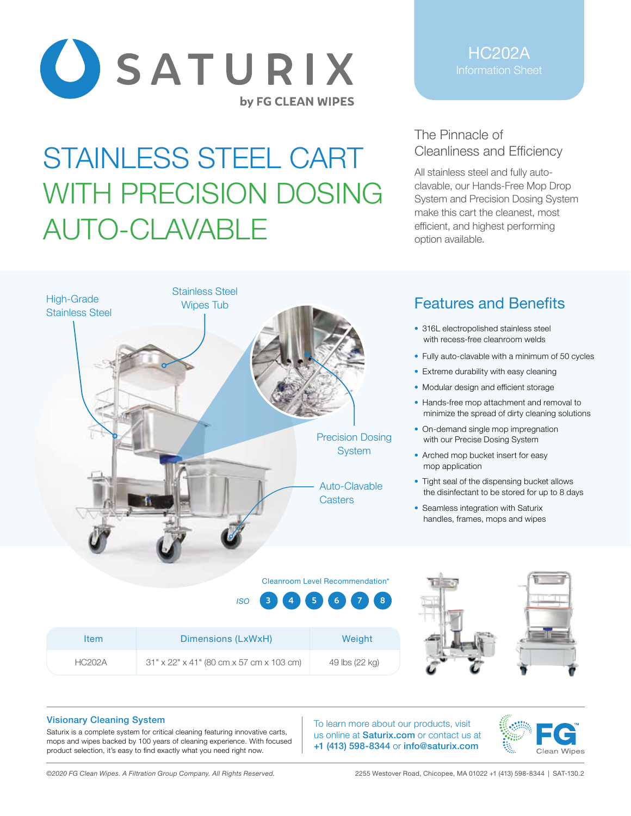

## STAINLESS STEEL CART WITH PRECISION DOSING AUTO-CLAVABLE

Stainless Steel

High-Grade Claimses Sta

Stainless Steel

HC202A

## The Pinnacle of Cleanliness and Efficiency

All stainless steel and fully autoclavable, our Hands-Free Mop Drop System and Precision Dosing System make this cart the cleanest, most efficient, and highest performing option available.



- 316L electropolished stainless steel with recess-free cleanroom welds
- Fully auto-clavable with a minimum of 50 cycles
- Extreme durability with easy cleaning
- Modular design and efficient storage
- Hands-free mop attachment and removal to minimize the spread of dirty cleaning solutions
- On-demand single mop impregnation with our Precise Dosing System
- Arched mop bucket insert for easy mop application
- Tight seal of the dispensing bucket allows the disinfectant to be stored for up to 8 days
- Seamless integration with Saturix handles, frames, mops and wipes

| Item          | Dimensions (LxWxH)                       | Weight         |
|---------------|------------------------------------------|----------------|
| <b>HC202A</b> | 31" x 22" x 41" (80 cm x 57 cm x 103 cm) | 49 lbs (22 kg) |

## Visionary Cleaning System

Saturix is a complete system for critical cleaning featuring innovative carts, mops and wipes backed by 100 years of cleaning experience. With focused product selection, it's easy to find exactly what you need right now.

To learn more about our products, visit us online at **Saturix.com** or contact us at +1 (413) 598-8344 or info@saturix.com

Cleanroom Level Recommendation\*

Auto-Clavable **Casters** 

Precision Dosing **System** 

*ISO* **3 4 5 6 7 8**



*©2020 FG Clean Wipes. A Filtration Group Company. All Rights Reserved.* 2255 Westover Road, Chicopee, MA 01022 +1 (413) 598-8344 | SAT-130.2